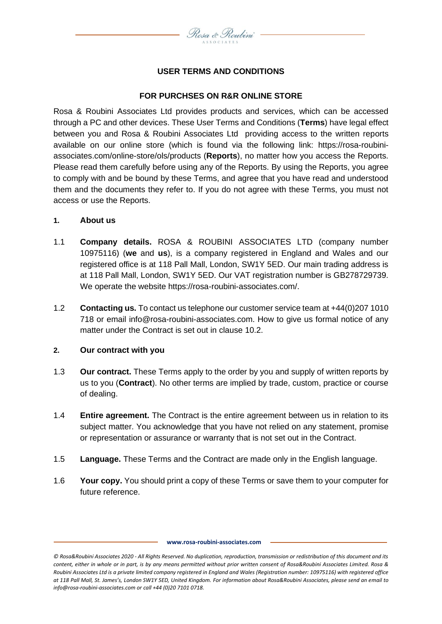

# **USER TERMS AND CONDITIONS**

# **FOR PURCHSES ON R&R ONLINE STORE**

Rosa & Roubini Associates Ltd provides products and services, which can be accessed through a PC and other devices. These User Terms and Conditions (**Terms**) have legal effect between you and Rosa & Roubini Associates Ltd providing access to the written reports available on our online store (which is found via the following link: https://rosa-roubiniassociates.com/online-store/ols/products (**Reports**), no matter how you access the Reports. Please read them carefully before using any of the Reports. By using the Reports, you agree to comply with and be bound by these Terms, and agree that you have read and understood them and the documents they refer to. If you do not agree with these Terms, you must not access or use the Reports.

#### **1. About us**

- 1.1 **Company details.** ROSA & ROUBINI ASSOCIATES LTD (company number 10975116) (**we** and **us**), is a company registered in England and Wales and our registered office is at 118 Pall Mall, London, SW1Y 5ED. Our main trading address is at 118 Pall Mall, London, SW1Y 5ED. Our VAT registration number is GB278729739. We operate the website https://rosa-roubini-associates.com/.
- 1.2 **Contacting us.** To contact us telephone our customer service team at +44(0)207 1010 718 or email info@rosa-roubini-associates.com. How to give us formal notice of any matter under the Contract is set out in clause [10.2.](#page-5-0)

#### **2. Our contract with you**

- 1.3 **Our contract.** These Terms apply to the order by you and supply of written reports by us to you (**Contract**). No other terms are implied by trade, custom, practice or course of dealing.
- 1.4 **Entire agreement.** The Contract is the entire agreement between us in relation to its subject matter. You acknowledge that you have not relied on any statement, promise or representation or assurance or warranty that is not set out in the Contract.
- 1.5 **Language.** These Terms and the Contract are made only in the English language.
- 1.6 **Your copy.** You should print a copy of these Terms or save them to your computer for future reference.

*<sup>©</sup> Rosa&Roubini Associates 2020 - All Rights Reserved. No duplication, reproduction, transmission or redistribution of this document and its content, either in whole or in part, is by any means permitted without prior written consent of Rosa&Roubini Associates Limited. Rosa & Roubini Associates Ltd is a private limited company registered in England and Wales (Registration number: 10975116) with registered office at 118 Pall Mall, St. James's, London SW1Y 5ED, United Kingdom. For information about Rosa&Roubini Associates, please send an email to info@rosa-roubini-associates.com or call +44 (0)20 7101 0718.*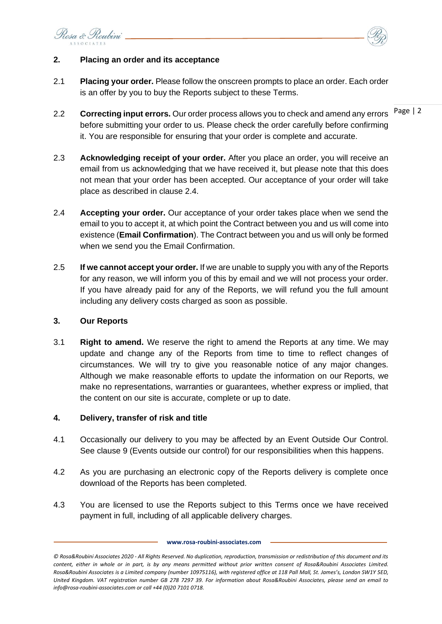Rosa & Roubini



# **2. Placing an order and its acceptance**

- 2.1 **Placing your order.** Please follow the onscreen prompts to place an order. Each order is an offer by you to buy the Reports subject to these Terms.
- 2.2 Correcting input errors. Our order process allows you to check and amend any errors Page | 2 before submitting your order to us. Please check the order carefully before confirming it. You are responsible for ensuring that your order is complete and accurate.
- 2.3 **Acknowledging receipt of your order.** After you place an order, you will receive an email from us acknowledging that we have received it, but please note that this does not mean that your order has been accepted. Our acceptance of your order will take place as described in clause [2.4.](#page-1-0)
- <span id="page-1-0"></span>2.4 **Accepting your order.** Our acceptance of your order takes place when we send the email to you to accept it, at which point the Contract between you and us will come into existence (**Email Confirmation**). The Contract between you and us will only be formed when we send you the Email Confirmation.
- 2.5 **If we cannot accept your order.** If we are unable to supply you with any of the Reports for any reason, we will inform you of this by email and we will not process your order. If you have already paid for any of the Reports, we will refund you the full amount including any delivery costs charged as soon as possible.

#### **3. Our Reports**

3.1 **Right to amend.** We reserve the right to amend the Reports at any time. We may update and change any of the Reports from time to time to reflect changes of circumstances. We will try to give you reasonable notice of any major changes. Although we make reasonable efforts to update the information on our Reports, we make no representations, warranties or guarantees, whether express or implied, that the content on our site is accurate, complete or up to date.

# **4. Delivery, transfer of risk and title**

- 4.1 Occasionally our delivery to you may be affected by an Event Outside Our Control. See clause [9](#page-4-0) (Events outside our control) for our responsibilities when this happens.
- 4.2 As you are purchasing an electronic copy of the Reports delivery is complete once download of the Reports has been completed.
- 4.3 You are licensed to use the Reports subject to this Terms once we have received payment in full, including of all applicable delivery charges.

*<sup>©</sup> Rosa&Roubini Associates 2020 - All Rights Reserved. No duplication, reproduction, transmission or redistribution of this document and its content, either in whole or in part, is by any means permitted without prior written consent of Rosa&Roubini Associates Limited. Rosa&Roubini Associates is a Limited company (number 10975116), with registered office at 118 Pall Mall, St. James's, London SW1Y 5ED, United Kingdom. VAT registration number GB 278 7297 39. For information about Rosa&Roubini Associates, please send an email to info@rosa-roubini-associates.com or call +44 (0)20 7101 0718.*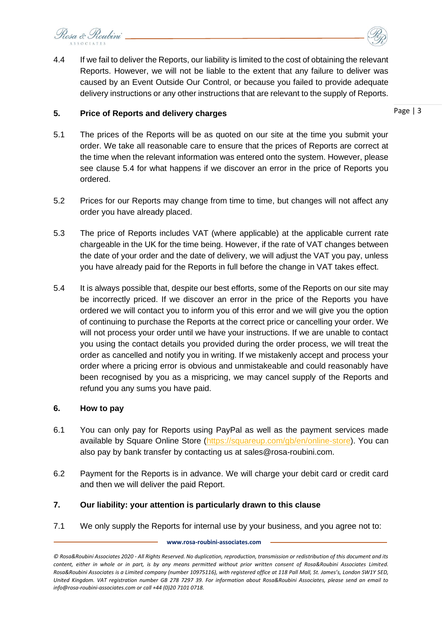Rosa & Roubini



#### **5. Price of Reports and delivery charges**

Page | 3

- 5.1 The prices of the Reports will be as quoted on our site at the time you submit your order. We take all reasonable care to ensure that the prices of Reports are correct at the time when the relevant information was entered onto the system. However, please see clause 5.4 for what happens if we discover an error in the price of Reports you ordered.
- 5.2 Prices for our Reports may change from time to time, but changes will not affect any order you have already placed.
- 5.3 The price of Reports includes VAT (where applicable) at the applicable current rate chargeable in the UK for the time being. However, if the rate of VAT changes between the date of your order and the date of delivery, we will adjust the VAT you pay, unless you have already paid for the Reports in full before the change in VAT takes effect.
- 5.4 It is always possible that, despite our best efforts, some of the Reports on our site may be incorrectly priced. If we discover an error in the price of the Reports you have ordered we will contact you to inform you of this error and we will give you the option of continuing to purchase the Reports at the correct price or cancelling your order. We will not process your order until we have your instructions. If we are unable to contact you using the contact details you provided during the order process, we will treat the order as cancelled and notify you in writing. If we mistakenly accept and process your order where a pricing error is obvious and unmistakeable and could reasonably have been recognised by you as a mispricing, we may cancel supply of the Reports and refund you any sums you have paid.

# **6. How to pay**

- 6.1 You can only pay for Reports using PayPal as well as the payment services made available by Square Online Store [\(https://squareup.com/gb/en/online-store\)](https://squareup.com/gb/en/online-store). You can also pay by bank transfer by contacting us at sales@rosa-roubini.com.
- 6.2 Payment for the Reports is in advance. We will charge your debit card or credit card and then we will deliver the paid Report.
- **7. Our liability: your attention is particularly drawn to this clause**
- 7.1 We only supply the Reports for internal use by your business, and you agree not to:

*<sup>©</sup> Rosa&Roubini Associates 2020 - All Rights Reserved. No duplication, reproduction, transmission or redistribution of this document and its content, either in whole or in part, is by any means permitted without prior written consent of Rosa&Roubini Associates Limited. Rosa&Roubini Associates is a Limited company (number 10975116), with registered office at 118 Pall Mall, St. James's, London SW1Y 5ED, United Kingdom. VAT registration number GB 278 7297 39. For information about Rosa&Roubini Associates, please send an email to info@rosa-roubini-associates.com or call +44 (0)20 7101 0718.*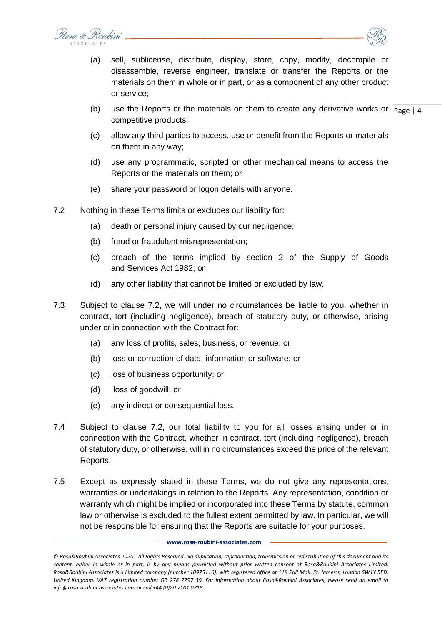Rosa & Roubini



- (a) sell, sublicense, distribute, display, store, copy, modify, decompile or disassemble, reverse engineer, translate or transfer the Reports or the materials on them in whole or in part, or as a component of any other product or service;
- (b) use the Reports or the materials on them to create any derivative works or  $p_{\text{age}} | 4$ competitive products;
- (c) allow any third parties to access, use or benefit from the Reports or materials on them in any way;
- (d) use any programmatic, scripted or other mechanical means to access the Reports or the materials on them; or
- (e) share your password or logon details with anyone.
- <span id="page-3-0"></span>7.2 Nothing in these Terms limits or excludes our liability for:
	- (a) death or personal injury caused by our negligence;
	- (b) fraud or fraudulent misrepresentation;
	- (c) breach of the terms implied by section 2 of the Supply of Goods and Services Act 1982; or
	- (d) any other liability that cannot be limited or excluded by law.
- 7.3 Subject to clause [7.2,](#page-3-0) we will under no circumstances be liable to you, whether in contract, tort (including negligence), breach of statutory duty, or otherwise, arising under or in connection with the Contract for:
	- (a) any loss of profits, sales, business, or revenue; or
	- (b) loss or corruption of data, information or software; or
	- (c) loss of business opportunity; or
	- (d) loss of goodwill; or
	- (e) any indirect or consequential loss.
- 7.4 Subject to clause [7.2,](#page-3-0) our total liability to you for all losses arising under or in connection with the Contract, whether in contract, tort (including negligence), breach of statutory duty, or otherwise, will in no circumstances exceed the price of the relevant Reports.
- 7.5 Except as expressly stated in these Terms, we do not give any representations, warranties or undertakings in relation to the Reports. Any representation, condition or warranty which might be implied or incorporated into these Terms by statute, common law or otherwise is excluded to the fullest extent permitted by law. In particular, we will not be responsible for ensuring that the Reports are suitable for your purposes.

*<sup>©</sup> Rosa&Roubini Associates 2020 - All Rights Reserved. No duplication, reproduction, transmission or redistribution of this document and its content, either in whole or in part, is by any means permitted without prior written consent of Rosa&Roubini Associates Limited. Rosa&Roubini Associates is a Limited company (number 10975116), with registered office at 118 Pall Mall, St. James's, London SW1Y 5ED, United Kingdom. VAT registration number GB 278 7297 39. For information about Rosa&Roubini Associates, please send an email to info@rosa-roubini-associates.com or call +44 (0)20 7101 0718.*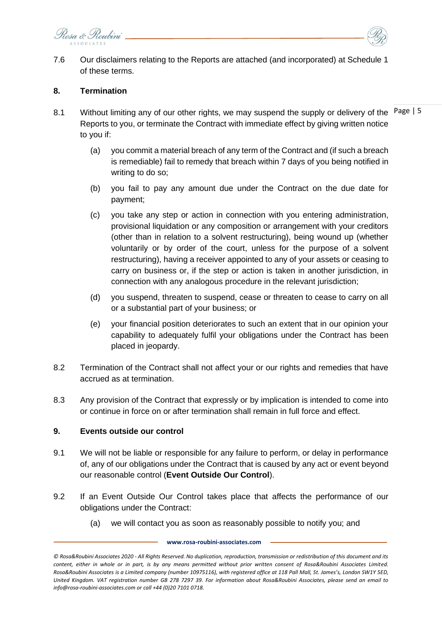Rosa & Roubini



7.6 Our disclaimers relating to the Reports are attached (and incorporated) at Schedule 1 of these terms.

# **8. Termination**

- 8.1 Without limiting any of our other rights, we may suspend the supply or delivery of the Page | 5 Reports to you, or terminate the Contract with immediate effect by giving written notice to you if:
	- (a) you commit a material breach of any term of the Contract and (if such a breach is remediable) fail to remedy that breach within 7 days of you being notified in writing to do so;
	- (b) you fail to pay any amount due under the Contract on the due date for payment;
	- (c) you take any step or action in connection with you entering administration, provisional liquidation or any composition or arrangement with your creditors (other than in relation to a solvent restructuring), being wound up (whether voluntarily or by order of the court, unless for the purpose of a solvent restructuring), having a receiver appointed to any of your assets or ceasing to carry on business or, if the step or action is taken in another jurisdiction, in connection with any analogous procedure in the relevant jurisdiction;
	- (d) you suspend, threaten to suspend, cease or threaten to cease to carry on all or a substantial part of your business; or
	- (e) your financial position deteriorates to such an extent that in our opinion your capability to adequately fulfil your obligations under the Contract has been placed in jeopardy.
- 8.2 Termination of the Contract shall not affect your or our rights and remedies that have accrued as at termination.
- 8.3 Any provision of the Contract that expressly or by implication is intended to come into or continue in force on or after termination shall remain in full force and effect.

# <span id="page-4-0"></span>**9. Events outside our control**

- 9.1 We will not be liable or responsible for any failure to perform, or delay in performance of, any of our obligations under the Contract that is caused by any act or event beyond our reasonable control (**Event Outside Our Control**).
- 9.2 If an Event Outside Our Control takes place that affects the performance of our obligations under the Contract:
	- (a) we will contact you as soon as reasonably possible to notify you; and

*<sup>©</sup> Rosa&Roubini Associates 2020 - All Rights Reserved. No duplication, reproduction, transmission or redistribution of this document and its content, either in whole or in part, is by any means permitted without prior written consent of Rosa&Roubini Associates Limited. Rosa&Roubini Associates is a Limited company (number 10975116), with registered office at 118 Pall Mall, St. James's, London SW1Y 5ED, United Kingdom. VAT registration number GB 278 7297 39. For information about Rosa&Roubini Associates, please send an email to info@rosa-roubini-associates.com or call +44 (0)20 7101 0718.*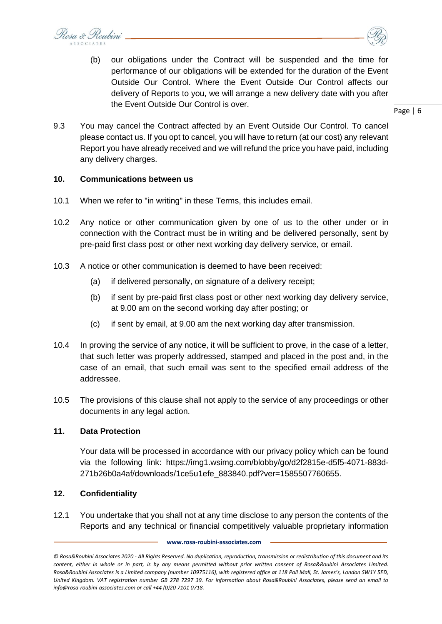Rosa & Roubini



Page | 6

9.3 You may cancel the Contract affected by an Event Outside Our Control. To cancel please contact us. If you opt to cancel, you will have to return (at our cost) any relevant Report you have already received and we will refund the price you have paid, including any delivery charges.

#### **10. Communications between us**

- 10.1 When we refer to "in writing" in these Terms, this includes email.
- <span id="page-5-0"></span>10.2 Any notice or other communication given by one of us to the other under or in connection with the Contract must be in writing and be delivered personally, sent by pre-paid first class post or other next working day delivery service, or email.
- 10.3 A notice or other communication is deemed to have been received:
	- (a) if delivered personally, on signature of a delivery receipt;
	- (b) if sent by pre-paid first class post or other next working day delivery service, at 9.00 am on the second working day after posting; or
	- (c) if sent by email, at 9.00 am the next working day after transmission.
- 10.4 In proving the service of any notice, it will be sufficient to prove, in the case of a letter, that such letter was properly addressed, stamped and placed in the post and, in the case of an email, that such email was sent to the specified email address of the addressee.
- 10.5 The provisions of this clause shall not apply to the service of any proceedings or other documents in any legal action.

#### **11. Data Protection**

Your data will be processed in accordance with our privacy policy which can be found via the following link: https://img1.wsimg.com/blobby/go/d2f2815e-d5f5-4071-883d-271b26b0a4af/downloads/1ce5u1efe\_883840.pdf?ver=1585507760655.

# **12. Confidentiality**

12.1 You undertake that you shall not at any time disclose to any person the contents of the Reports and any technical or financial competitively valuable proprietary information

*<sup>©</sup> Rosa&Roubini Associates 2020 - All Rights Reserved. No duplication, reproduction, transmission or redistribution of this document and its content, either in whole or in part, is by any means permitted without prior written consent of Rosa&Roubini Associates Limited. Rosa&Roubini Associates is a Limited company (number 10975116), with registered office at 118 Pall Mall, St. James's, London SW1Y 5ED, United Kingdom. VAT registration number GB 278 7297 39. For information about Rosa&Roubini Associates, please send an email to info@rosa-roubini-associates.com or call +44 (0)20 7101 0718.*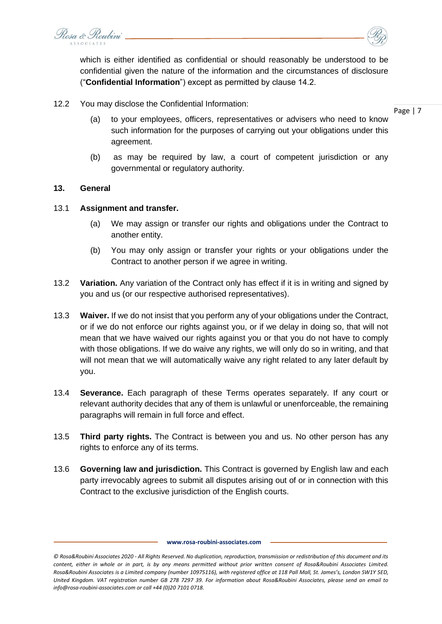Rosa & Roubini

which is either identified as confidential or should reasonably be understood to be confidential given the nature of the information and the circumstances of disclosure ("**Confidential Information**") except as permitted by clause 14.2.

12.2 You may disclose the Confidential Information:

Page | 7

- (a) to your employees, officers, representatives or advisers who need to know such information for the purposes of carrying out your obligations under this agreement.
- (b) as may be required by law, a court of competent jurisdiction or any governmental or regulatory authority.

# **13. General**

#### 13.1 **Assignment and transfer.**

- (a) We may assign or transfer our rights and obligations under the Contract to another entity.
- (b) You may only assign or transfer your rights or your obligations under the Contract to another person if we agree in writing.
- 13.2 **Variation.** Any variation of the Contract only has effect if it is in writing and signed by you and us (or our respective authorised representatives).
- 13.3 **Waiver.** If we do not insist that you perform any of your obligations under the Contract, or if we do not enforce our rights against you, or if we delay in doing so, that will not mean that we have waived our rights against you or that you do not have to comply with those obligations. If we do waive any rights, we will only do so in writing, and that will not mean that we will automatically waive any right related to any later default by you.
- 13.4 **Severance.** Each paragraph of these Terms operates separately. If any court or relevant authority decides that any of them is unlawful or unenforceable, the remaining paragraphs will remain in full force and effect.
- 13.5 **Third party rights.** The Contract is between you and us. No other person has any rights to enforce any of its terms.
- 13.6 **Governing law and jurisdiction.** This Contract is governed by English law and each party irrevocably agrees to submit all disputes arising out of or in connection with this Contract to the exclusive jurisdiction of the English courts.

*<sup>©</sup> Rosa&Roubini Associates 2020 - All Rights Reserved. No duplication, reproduction, transmission or redistribution of this document and its content, either in whole or in part, is by any means permitted without prior written consent of Rosa&Roubini Associates Limited. Rosa&Roubini Associates is a Limited company (number 10975116), with registered office at 118 Pall Mall, St. James's, London SW1Y 5ED, United Kingdom. VAT registration number GB 278 7297 39. For information about Rosa&Roubini Associates, please send an email to info@rosa-roubini-associates.com or call +44 (0)20 7101 0718.*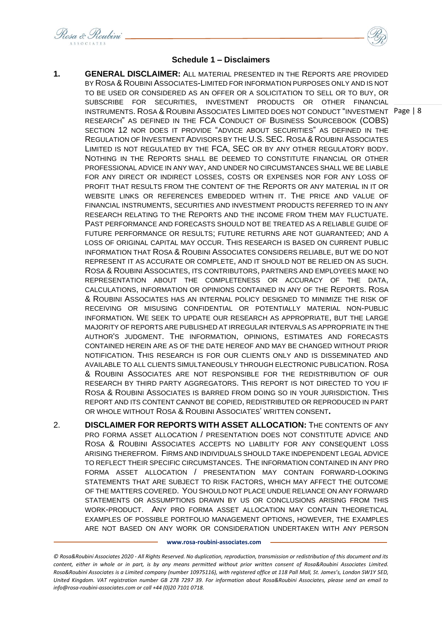Rosa & Roubini



- INSTRUMENTS. ROSA & ROUBINI ASSOCIATES LIMITED DOES NOT CONDUCT "INVESTMENT Page | 8 **1. GENERAL DISCLAIMER:** ALL MATERIAL PRESENTED IN THE REPORTS ARE PROVIDED BY ROSA & ROUBINI ASSOCIATES-LIMITED FOR INFORMATION PURPOSES ONLY AND IS NOT TO BE USED OR CONSIDERED AS AN OFFER OR A SOLICITATION TO SELL OR TO BUY, OR SUBSCRIBE FOR SECURITIES, INVESTMENT PRODUCTS OR OTHER FINANCIAL RESEARCH" AS DEFINED IN THE FCA CONDUCT OF BUSINESS SOURCEBOOK (COBS) SECTION 12 NOR DOES IT PROVIDE "ADVICE ABOUT SECURITIES" AS DEFINED IN THE REGULATION OF INVESTMENT ADVISORS BY THE U.S. SEC. ROSA & ROUBINI ASSOCIATES LIMITED IS NOT REGULATED BY THE FCA, SEC OR BY ANY OTHER REGULATORY BODY. NOTHING IN THE REPORTS SHALL BE DEEMED TO CONSTITUTE FINANCIAL OR OTHER PROFESSIONAL ADVICE IN ANY WAY, AND UNDER NO CIRCUMSTANCES SHALL WE BE LIABLE FOR ANY DIRECT OR INDIRECT LOSSES, COSTS OR EXPENSES NOR FOR ANY LOSS OF PROFIT THAT RESULTS FROM THE CONTENT OF THE REPORTS OR ANY MATERIAL IN IT OR WEBSITE LINKS OR REFERENCES EMBEDDED WITHIN IT. THE PRICE AND VALUE OF FINANCIAL INSTRUMENTS, SECURITIES AND INVESTMENT PRODUCTS REFERRED TO IN ANY RESEARCH RELATING TO THE REPORTS AND THE INCOME FROM THEM MAY FLUCTUATE. PAST PERFORMANCE AND FORECASTS SHOULD NOT BE TREATED AS A RELIABLE GUIDE OF FUTURE PERFORMANCE OR RESULTS; FUTURE RETURNS ARE NOT GUARANTEED; AND A LOSS OF ORIGINAL CAPITAL MAY OCCUR. THIS RESEARCH IS BASED ON CURRENT PUBLIC INFORMATION THAT ROSA & ROUBINI ASSOCIATES CONSIDERS RELIABLE, BUT WE DO NOT REPRESENT IT AS ACCURATE OR COMPLETE, AND IT SHOULD NOT BE RELIED ON AS SUCH. ROSA & ROUBINI ASSOCIATES, ITS CONTRIBUTORS, PARTNERS AND EMPLOYEES MAKE NO REPRESENTATION ABOUT THE COMPLETENESS OR ACCURACY OF THE DATA, CALCULATIONS, INFORMATION OR OPINIONS CONTAINED IN ANY OF THE REPORTS. ROSA & ROUBINI ASSOCIATES HAS AN INTERNAL POLICY DESIGNED TO MINIMIZE THE RISK OF RECEIVING OR MISUSING CONFIDENTIAL OR POTENTIALLY MATERIAL NON-PUBLIC INFORMATION. WE SEEK TO UPDATE OUR RESEARCH AS APPROPRIATE, BUT THE LARGE MAJORITY OF REPORTS ARE PUBLISHED AT IRREGULAR INTERVALS AS APPROPRIATE IN THE AUTHOR'S JUDGMENT. THE INFORMATION, OPINIONS, ESTIMATES AND FORECASTS CONTAINED HEREIN ARE AS OF THE DATE HEREOF AND MAY BE CHANGED WITHOUT PRIOR NOTIFICATION. THIS RESEARCH IS FOR OUR CLIENTS ONLY AND IS DISSEMINATED AND AVAILABLE TO ALL CLIENTS SIMULTANEOUSLY THROUGH ELECTRONIC PUBLICATION. ROSA & ROUBINI ASSOCIATES ARE NOT RESPONSIBLE FOR THE REDISTRIBUTION OF OUR RESEARCH BY THIRD PARTY AGGREGATORS. THIS REPORT IS NOT DIRECTED TO YOU IF ROSA & ROUBINI ASSOCIATES IS BARRED FROM DOING SO IN YOUR JURISDICTION. THIS REPORT AND ITS CONTENT CANNOT BE COPIED, REDISTRIBUTED OR REPRODUCED IN PART OR WHOLE WITHOUT ROSA & ROUBINI ASSOCIATES' WRITTEN CONSENT**.**
- 2. **DISCLAIMER FOR REPORTS WITH ASSET ALLOCATION:** THE CONTENTS OF ANY PRO FORMA ASSET ALLOCATION / PRESENTATION DOES NOT CONSTITUTE ADVICE AND ROSA & ROUBINI ASSOCIATES ACCEPTS NO LIABILITY FOR ANY CONSEQUENT LOSS ARISING THEREFROM. FIRMS AND INDIVIDUALS SHOULD TAKE INDEPENDENT LEGAL ADVICE TO REFLECT THEIR SPECIFIC CIRCUMSTANCES. THE INFORMATION CONTAINED IN ANY PRO FORMA ASSET ALLOCATION / PRESENTATION MAY CONTAIN FORWARD-LOOKING STATEMENTS THAT ARE SUBJECT TO RISK FACTORS, WHICH MAY AFFECT THE OUTCOME OF THE MATTERS COVERED. YOU SHOULD NOT PLACE UNDUE RELIANCE ON ANY FORWARD STATEMENTS OR ASSUMPTIONS DRAWN BY US OR CONCLUSIONS ARISING FROM THIS WORK-PRODUCT. ANY PRO FORMA ASSET ALLOCATION MAY CONTAIN THEORETICAL EXAMPLES OF POSSIBLE PORTFOLIO MANAGEMENT OPTIONS, HOWEVER, THE EXAMPLES ARE NOT BASED ON ANY WORK OR CONSIDERATION UNDERTAKEN WITH ANY PERSON

*<sup>©</sup> Rosa&Roubini Associates 2020 - All Rights Reserved. No duplication, reproduction, transmission or redistribution of this document and its content, either in whole or in part, is by any means permitted without prior written consent of Rosa&Roubini Associates Limited. Rosa&Roubini Associates is a Limited company (number 10975116), with registered office at 118 Pall Mall, St. James's, London SW1Y 5ED, United Kingdom. VAT registration number GB 278 7297 39. For information about Rosa&Roubini Associates, please send an email to info@rosa-roubini-associates.com or call +44 (0)20 7101 0718.*